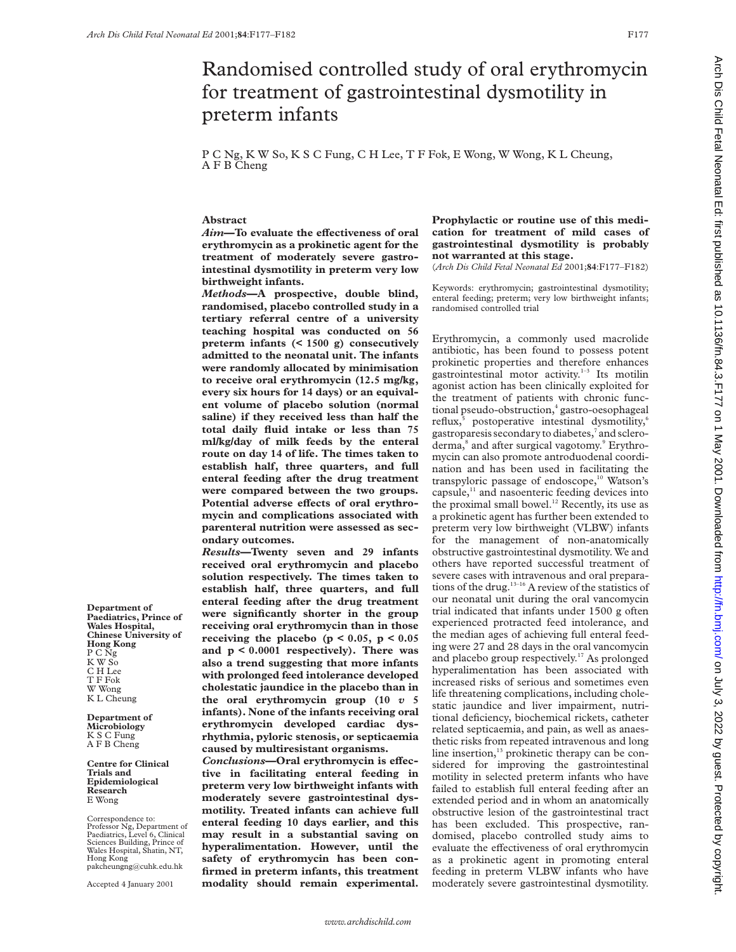# Randomised controlled study of oral erythromycin for treatment of gastrointestinal dysmotility in preterm infants

P C Ng, K W So, K S C Fung, C H Lee, T F Fok, E Wong, W Wong, K L Cheung, A F B Cheng

## **Abstract**

Aim-To evaluate the effectiveness of oral **erythromycin as a prokinetic agent for the treatment of moderately severe gastrointestinal dysmotility in preterm very low birthweight infants.**

*Methods***—A prospective, double blind, randomised, placebo controlled study in a tertiary referral centre of a university teaching hospital was conducted on 56 preterm infants (< 1500 g) consecutively admitted to the neonatal unit. The infants were randomly allocated by minimisation to receive oral erythromycin (12.5 mg/kg, every six hours for 14 days) or an equivalent volume of placebo solution (normal saline) if they received less than half the total daily fluid intake or less than 75 ml/kg/day of milk feeds by the enteral route on day 14 of life. The times taken to establish half, three quarters, and full enteral feeding after the drug treatment were compared between the two groups.** Potential adverse effects of oral erythro**mycin and complications associated with parenteral nutrition were assessed as secondary outcomes.**

*Results***—Twenty seven and 29 infants received oral erythromycin and placebo solution respectively. The times taken to establish half, three quarters, and full enteral feeding after the drug treatment were significantly shorter in the group receiving oral erythromycin than in those** receiving the placebo  $(p < 0.05, p < 0.05)$ **and p < 0.0001 respectively). There was also a trend suggesting that more infants with prolonged feed intolerance developed cholestatic jaundice in the placebo than in the oral erythromycin group (10** *v* **5 infants). None of the infants receiving oral erythromycin developed cardiac dysrhythmia, pyloric stenosis, or septicaemia caused by multiresistant organisms.**

**Conclusions-Oral erythromycin is effective in facilitating enteral feeding in preterm very low birthweight infants with moderately severe gastrointestinal dysmotility. Treated infants can achieve full enteral feeding 10 days earlier, and this may result in a substantial saving on hyperalimentation. However, until the safety of erythromycin has been confirmed in preterm infants, this treatment modality should remain experimental.**

## **Prophylactic or routine use of this medication for treatment of mild cases of gastrointestinal dysmotility is probably not warranted at this stage.**

(*Arch Dis Child Fetal Neonatal Ed* 2001;**84**:F177–F182)

Keywords: erythromycin; gastrointestinal dysmotility; enteral feeding; preterm; very low birthweight infants; randomised controlled trial

Erythromycin, a commonly used macrolide antibiotic, has been found to possess potent prokinetic properties and therefore enhances gastrointestinal motor activity. $1-3$  Its motilin agonist action has been clinically exploited for the treatment of patients with chronic functional pseudo-obstruction,<sup>4</sup> gastro-oesophageal reflux,<sup>5</sup> postoperative intestinal dysmotility,<sup>6</sup> gastroparesis secondary to diabetes,<sup>7</sup> and scleroderma,<sup>8</sup> and after surgical vagotomy.<sup>9</sup> Erythromycin can also promote antroduodenal coordination and has been used in facilitating the transpyloric passage of endoscope,<sup>10</sup> Watson's  $c$ apsule, $<sup>11</sup>$  and nasoenteric feeding devices into</sup> the proximal small bowel.<sup>12</sup> Recently, its use as a prokinetic agent has further been extended to preterm very low birthweight (VLBW) infants for the management of non-anatomically obstructive gastrointestinal dysmotility. We and others have reported successful treatment of severe cases with intravenous and oral preparations of the drug.<sup>13–16</sup> A review of the statistics of our neonatal unit during the oral vancomycin trial indicated that infants under 1500 g often experienced protracted feed intolerance, and the median ages of achieving full enteral feeding were 27 and 28 days in the oral vancomycin and placebo group respectively.17 As prolonged hyperalimentation has been associated with increased risks of serious and sometimes even life threatening complications, including cholestatic jaundice and liver impairment, nutritional deficiency, biochemical rickets, catheter related septicaemia, and pain, as well as anaesthetic risks from repeated intravenous and long line insertion,<sup>13</sup> prokinetic therapy can be considered for improving the gastrointestinal motility in selected preterm infants who have failed to establish full enteral feeding after an extended period and in whom an anatomically obstructive lesion of the gastrointestinal tract has been excluded. This prospective, randomised, placebo controlled study aims to evaluate the effectiveness of oral erythromycin as a prokinetic agent in promoting enteral feeding in preterm VLBW infants who have moderately severe gastrointestinal dysmotility.

**Department of Paediatrics, Prince of Wales Hospital, Chinese University of Hong Kong** P C Ng K W So C H Lee T F Fok W Wong K L Cheung

**Department of Microbiology** K S C Fung A F B Cheng

**Centre for Clinical Trials and Epidemiological Research** E Wong

Correspondence to: Professor Ng, Department of Paediatrics, Level 6, Clinical Sciences Building, Prince of Wales Hospital, Shatin, NT, Hong Kong pakcheungng@cuhk.edu.hk

Accepted 4 January 2001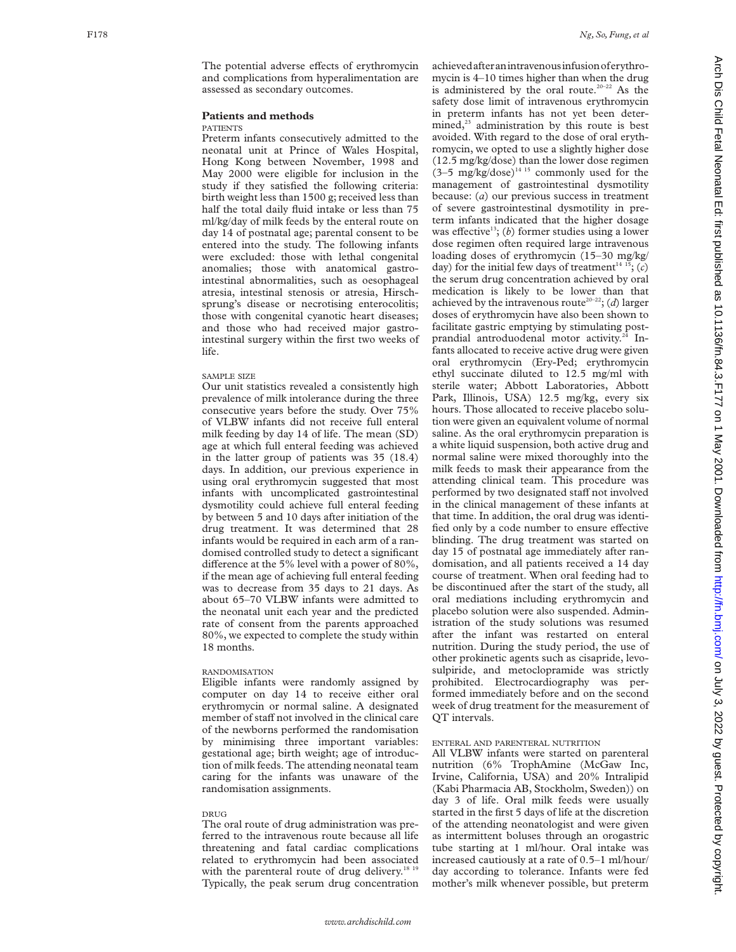The potential adverse effects of erythromycin and complications from hyperalimentation are assessed as secondary outcomes.

## **Patients and methods**

## PATIENTS

Preterm infants consecutively admitted to the neonatal unit at Prince of Wales Hospital, Hong Kong between November, 1998 and May 2000 were eligible for inclusion in the study if they satisfied the following criteria: birth weight less than 1500 g; received less than half the total daily fluid intake or less than 75 ml/kg/day of milk feeds by the enteral route on day 14 of postnatal age; parental consent to be entered into the study. The following infants were excluded: those with lethal congenital anomalies; those with anatomical gastrointestinal abnormalities, such as oesophageal atresia, intestinal stenosis or atresia, Hirschsprung's disease or necrotising enterocolitis; those with congenital cyanotic heart diseases; and those who had received major gastrointestinal surgery within the first two weeks of life.

## SAMPLE SIZE

Our unit statistics revealed a consistently high prevalence of milk intolerance during the three consecutive years before the study. Over 75% of VLBW infants did not receive full enteral milk feeding by day 14 of life. The mean (SD) age at which full enteral feeding was achieved in the latter group of patients was 35 (18.4) days. In addition, our previous experience in using oral erythromycin suggested that most infants with uncomplicated gastrointestinal dysmotility could achieve full enteral feeding by between 5 and 10 days after initiation of the drug treatment. It was determined that 28 infants would be required in each arm of a randomised controlled study to detect a significant difference at the 5% level with a power of 80%, if the mean age of achieving full enteral feeding was to decrease from 35 days to 21 days. As about 65–70 VLBW infants were admitted to the neonatal unit each year and the predicted rate of consent from the parents approached 80%, we expected to complete the study within 18 months.

## RANDOMISATION

Eligible infants were randomly assigned by computer on day 14 to receive either oral erythromycin or normal saline. A designated member of staff not involved in the clinical care of the newborns performed the randomisation by minimising three important variables: gestational age; birth weight; age of introduction of milk feeds. The attending neonatal team caring for the infants was unaware of the randomisation assignments.

#### DRUG

The oral route of drug administration was preferred to the intravenous route because all life threatening and fatal cardiac complications related to erythromycin had been associated with the parenteral route of drug delivery. $18 \frac{19}{19}$ Typically, the peak serum drug concentration achievedafteranintravenousinfusionoferythromycin is 4–10 times higher than when the drug is administered by the oral route.<sup>20-22</sup> As the safety dose limit of intravenous erythromycin in preterm infants has not yet been determined,<sup>23</sup> administration by this route is best avoided. With regard to the dose of oral erythromycin, we opted to use a slightly higher dose (12.5 mg/kg/dose) than the lower dose regimen  $(3-5 \text{ mg/kg/dose})$ <sup>14 15</sup> commonly used for the management of gastrointestinal dysmotility because: ( *a*) our previous success in treatment of severe gastrointestinal dysmotility in preterm infants indicated that the higher dosage was effective<sup>13</sup>; (b) former studies using a lower dose regimen often required large intravenous loading doses of erythromycin (15–30 mg/kg/ day) for the initial few days of treatment<sup>14 15</sup>; (c) the serum drug concentration achieved by oral medication is likely to be lower than that achieved by the intravenous route<sup>20-22</sup>; (*d*) larger doses of erythromycin have also been shown to facilitate gastric emptying by stimulating postprandial antroduodenal motor activity.<sup>24</sup> Infants allocated to receive active drug were given oral erythromycin (Ery-Ped; erythromycin ethyl succinate diluted to 12.5 mg/ml with sterile water; Abbott Laboratories, Abbott Park, Illinois, USA) 12.5 mg/kg, every six hours. Those allocated to receive placebo solution were given an equivalent volume of normal saline. As the oral erythromycin preparation is a white liquid suspension, both active drug and normal saline were mixed thoroughly into the milk feeds to mask their appearance from the attending clinical team. This procedure was performed by two designated staff not involved in the clinical management of these infants at that time. In addition, the oral drug was identified only by a code number to ensure effective blinding. The drug treatment was started on day 15 of postnatal age immediately after randomisation, and all patients received a 14 day course of treatment. When oral feeding had to be discontinued after the start of the study, all oral mediations including erythromycin and placebo solution were also suspended. Administration of the study solutions was resumed after the infant was restarted on enteral nutrition. During the study period, the use of other prokinetic agents such as cisapride, levosulpiride, and metoclopramide was strictly prohibited. Electrocardiography was performed immediately before and on the second week of drug treatment for the measurement of QT intervals.

### ENTERAL AND PARENTERAL NUTRITION

All VLBW infants were started on parenteral nutrition (6% TrophAmine (McGaw Inc, Irvine, California, USA) and 20% Intralipid (Kabi Pharmacia AB, Stockholm, Sweden)) on day 3 of life. Oral milk feeds were usually started in the first 5 days of life at the discretion of the attending neonatologist and were given as intermittent boluses through an orogastric tube starting at 1 ml/hour. Oral intake was increased cautiously at a rate of 0.5–1 ml/hour/ day according to tolerance. Infants were fed mother's milk whenever possible, but preterm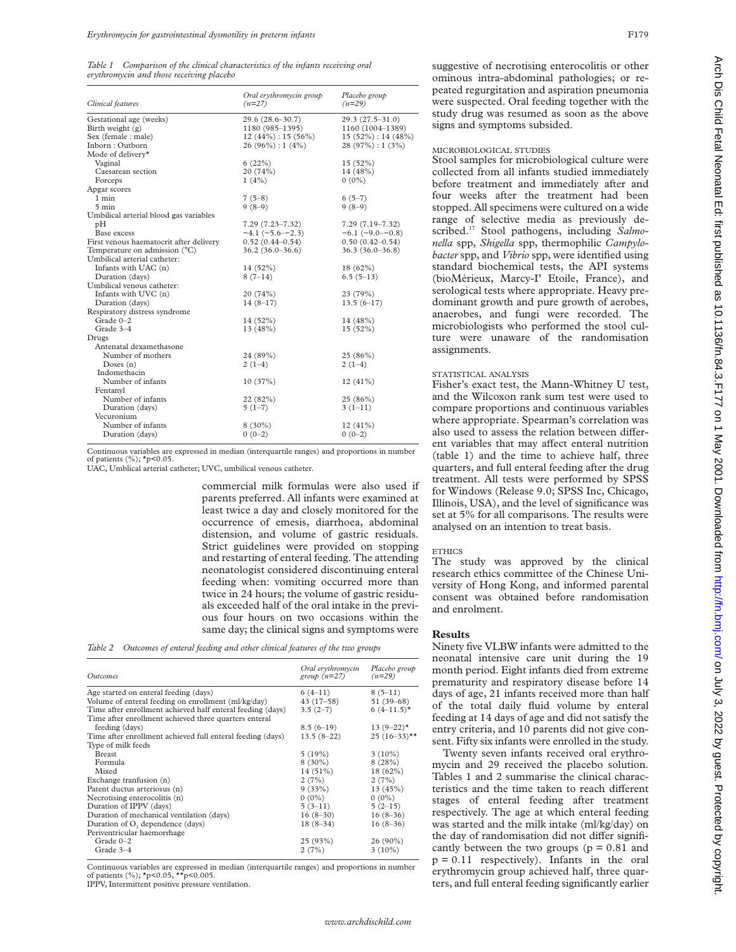*Table 1 Comparison of the clinical characteristics of the infants receiving oral erythromycin and those receiving placebo*

| Clinical features                       | Oral erythromycin group<br>$(n=27)$ | Placebo group<br>$(n=29)$ |
|-----------------------------------------|-------------------------------------|---------------------------|
| Gestational age (weeks)                 | 29.6 (28.6-30.7)                    | 29.3 (27.5-31.0)          |
| Birth weight $(g)$                      | 1180 (985-1395)                     | 1160 (1004-1389)          |
| Sex (female : male)                     | $12(44\%)$ : 15 $(56\%)$            | $15(52\%) : 14(48\%)$     |
| Inborn: Outborn                         | $26(96\%) : 1(4\%)$                 | $28(97\%) : 1(3\%)$       |
| Mode of delivery*                       |                                     |                           |
| Vaginal                                 | 6(22%)                              | 15(52%)                   |
| Caesarean section                       | 20 (74%)                            | 14 (48%)                  |
| Forceps                                 | 1(4%)                               | $0(0\%)$                  |
| Apgar scores                            |                                     |                           |
| 1 min                                   | $7(5-8)$                            | $6(5-7)$                  |
| 5 min                                   | $9(8-9)$                            | $9(8-9)$                  |
| Umbilical arterial blood gas variables  |                                     |                           |
| pH                                      | $7.29(7.23 - 7.32)$                 | $7.29(7.19 - 7.32)$       |
| <b>Base excess</b>                      | $-4.1(-5.6 - -2.3)$                 | $-6.1(-9.0 - -0.8)$       |
| First venous haematocrit after delivery | $0.52(0.44 - 0.54)$                 | $0.50(0.42 - 0.54)$       |
| Temperature on admission (°C)           | $36.2(36.0-36.6)$                   | $36.3(36.0-36.8)$         |
| Umbilical arterial catheter:            |                                     |                           |
| Infants with UAC (n)                    | 14 (52%)                            | $18(62\%)$                |
| Duration (days)                         | $8(7-14)$                           | $6.5(5-13)$               |
| Umbilical venous catheter:              |                                     |                           |
| Infants with UVC (n)                    | 20(74%)                             | 23 (79%)                  |
| Duration (days)                         | $14(8-17)$                          | $13.5(6-17)$              |
| Respiratory distress syndrome           |                                     |                           |
| Grade $0-2$                             | 14 (52%)                            | 14 (48%)                  |
| Grade 3-4                               | 13 (48%)                            | 15(52%)                   |
| Drugs                                   |                                     |                           |
| Antenatal dexamethasone                 |                                     |                           |
| Number of mothers                       | 24 (89%)                            | 25(86%)                   |
| Doses $(n)$                             | $2(1-4)$                            | $2(1-4)$                  |
| Indomethacin                            |                                     |                           |
| Number of infants                       | 10(37%)                             | $12(41\%)$                |
| Fentanyl                                |                                     |                           |
| Number of infants                       | 22(82%)                             | 25 (86%)                  |
| Duration (days)                         | $5(1-7)$                            | $3(1-11)$                 |
| Vecuronium                              |                                     |                           |
| Number of infants                       | $8(30\%)$                           | 12(41%)                   |
| Duration (days)                         | $0(0-2)$                            | $0(0-2)$                  |

Continuous variables are expressed in median (interquartile ranges) and proportions in number of patients (%); \*p<0.05.

UAC, Umblical arterial catheter; UVC, umbilical venous catheter.

commercial milk formulas were also used if parents preferred. All infants were examined at least twice a day and closely monitored for the occurrence of emesis, diarrhoea, abdominal distension, and volume of gastric residuals. Strict guidelines were provided on stopping and restarting of enteral feeding. The attending neonatologist considered discontinuing enteral feeding when: vomiting occurred more than twice in 24 hours; the volume of gastric residuals exceeded half of the oral intake in the previous four hours on two occasions within the same day; the clinical signs and symptoms were

*Table 2 Outcomes of enteral feeding and other clinical features of the two groups*

| <i><u>Outcomes</u></i>                                     | Oral erythromycin<br>group $(n=27)$ | Placebo group<br>$(n=29)$ |
|------------------------------------------------------------|-------------------------------------|---------------------------|
| Age started on enteral feeding (days)                      | $6(4-11)$                           | $8(5-11)$                 |
| Volume of enteral feeding on enrollment (ml/kg/day)        | $43(17-58)$                         | $51(39-68)$               |
| Time after enrollment achieved half enteral feeding (days) | $3.5(2-7)$                          | $6(4-11.5)$ *             |
| Time after enrollment achieved three quarters enteral      |                                     |                           |
| feeding (days)                                             | $8.5(6-19)$                         | 13 $(9-22)$ *             |
| Time after enrollment achieved full enteral feeding (days) | $13.5(8-22)$                        | $25(16-33)$ **            |
| Type of milk feeds                                         |                                     |                           |
| <b>Breast</b>                                              | 5(19%)                              | $3(10\%)$                 |
| Formula                                                    | $8(30\%)$                           | 8(28%)                    |
| Mixed                                                      | $14(51\%)$                          | $18(62\%)$                |
| Exchange tranfusion (n)                                    | 2(7%)                               | 2(7%)                     |
| Patent ductus arteriosus (n)                               | 9(33%)                              | 13(45%)                   |
| Necrotising enterocolitis (n)                              | $0(0\%)$                            | $0(0\%)$                  |
| Duration of IPPV (days)                                    | $5(3-11)$                           | $5(2-15)$                 |
| Duration of mechanical ventilation (days)                  | $16(8-30)$                          | $16(8-36)$                |
| Duration of O <sub>2</sub> dependence (days)               | $18(8-34)$                          | $16(8-36)$                |
| Periventricular haemorrhage                                |                                     |                           |
| Grade $0-2$                                                | 25(93%)                             | 26 (90%)                  |
| Grade 3-4                                                  | 2(7%)                               | $3(10\%)$                 |
|                                                            |                                     |                           |

Continuous variables are expressed in median (interquartile ranges) and proportions in number of patients  $(\%)$ ; \*p<0.05, \*\*p<0.005.

IPPV, Intermittent positive pressure ventilation.

suggestive of necrotising enterocolitis or other ominous intra-abdominal pathologies; or repeated regurgitation and aspiration pneumonia were suspected. Oral feeding together with the study drug was resumed as soon as the above signs and symptoms subsided.

#### MICROBIOLOGICAL STUDIES

Stool samples for microbiological culture were collected from all infants studied immediately before treatment and immediately after and four weeks after the treatment had been stopped. All specimens were cultured on a wide range of selective media as previously described.17 Stool pathogens, including *Salmonella* spp, *Shigella* spp, thermophilic *Campylobacter* spp, and *Vibrio* spp, were identified using standard biochemical tests, the API systems (bioMérieux, Marcy-I' Etoile, France), and serological tests where appropriate. Heavy predominant growth and pure growth of aerobes, anaerobes, and fungi were recorded. The microbiologists who performed the stool culture were unaware of the randomisation assignments.

## STATISTICAL ANALYSIS

Fisher's exact test, the Mann-Whitney U test, and the Wilcoxon rank sum test were used to compare proportions and continuous variables where appropriate. Spearman's correlation was also used to assess the relation between different variables that may affect enteral nutrition (table 1) and the time to achieve half, three quarters, and full enteral feeding after the drug treatment. All tests were performed by SPSS for Windows (Release 9.0; SPSS Inc, Chicago, Illinois, USA), and the level of significance was set at 5% for all comparisons. The results were analysed on an intention to treat basis.

## **ETHICS**

The study was approved by the clinical research ethics committee of the Chinese University of Hong Kong, and informed parental consent was obtained before randomisation and enrolment.

#### **Results**

Ninety five VLBW infants were admitted to the neonatal intensive care unit during the 19 month period. Eight infants died from extreme prematurity and respiratory disease before 14 days of age, 21 infants received more than half of the total daily fluid volume by enteral feeding at 14 days of age and did not satisfy the entry criteria, and 10 parents did not give consent. Fifty six infants were enrolled in the study.

Twenty seven infants received oral erythromycin and 29 received the placebo solution. Tables 1 and 2 summarise the clinical characteristics and the time taken to reach different stages of enteral feeding after treatment respectively. The age at which enteral feeding was started and the milk intake (ml/kg/day) on the day of randomisation did not differ significantly between the two groups  $(p = 0.81$  and  $p = 0.11$  respectively). Infants in the oral erythromycin group achieved half, three quarters, and full enteral feeding significantly earlier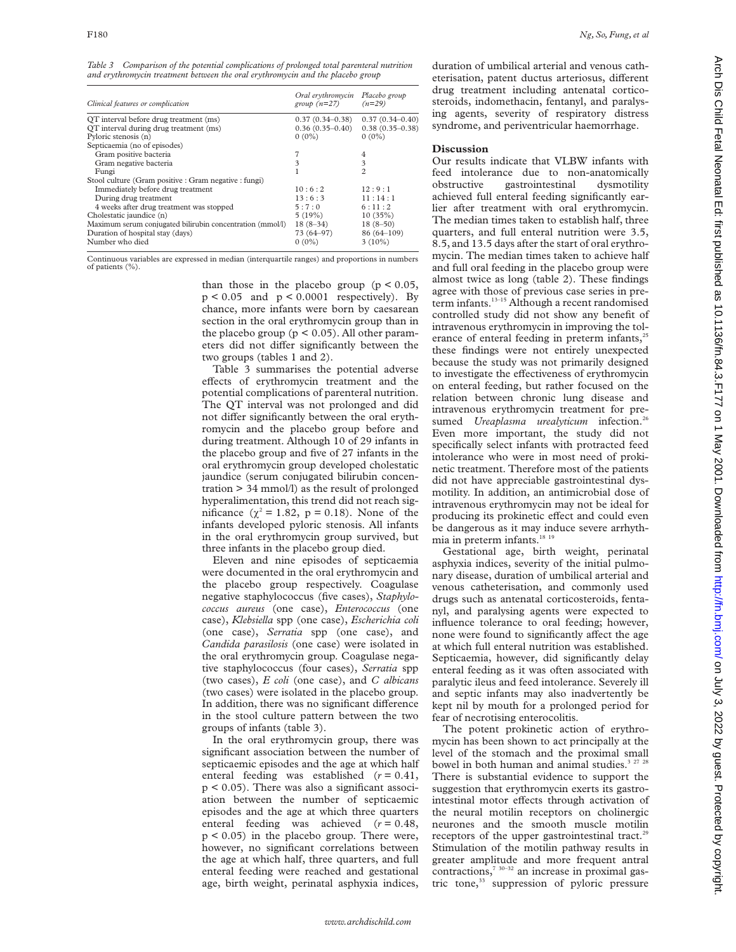F180 *Ng, So, Fung, et al*

*Table 3 Comparison of the potential complications of prolonged total parenteral nutrition and erythromycin treatment between the oral erythromycin and the placebo group*

| Clinical features or complication                         | Oral erythromycin<br>group $(n=27)$ | Placebo group<br>$(n=29)$ |
|-----------------------------------------------------------|-------------------------------------|---------------------------|
| OT interval before drug treatment (ms)                    | $0.37(0.34 - 0.38)$                 | $0.37(0.34 - 0.40)$       |
| OT interval during drug treatment (ms)                    | $0.36(0.35-0.40)$                   | $0.38(0.35 - 0.38)$       |
| Pyloric stenosis (n)                                      | $0(0\%)$                            | $0(0\%)$                  |
| Septicaemia (no of episodes)                              |                                     |                           |
| Gram positive bacteria                                    |                                     | 4                         |
| Gram negative bacteria                                    | 3                                   | 3                         |
| Fungi                                                     |                                     | $\overline{c}$            |
| Stool culture (Gram positive : Gram negative : fungi)     |                                     |                           |
| Immediately before drug treatment                         | 10:6:2                              | 12:9:1                    |
| During drug treatment                                     | 13:6:3                              | 11:14:1                   |
| 4 weeks after drug treatment was stopped                  | 5:7:0                               | 6:11:2                    |
| Cholestatic jaundice (n)                                  | 5(19%)                              | 10(35%)                   |
| Maximum serum conjugated bilirubin concentration (mmol/l) | $18(8-34)$                          | $18(8-50)$                |
| Duration of hospital stay (days)                          | $73(64 - 97)$                       | 86 (64-109)               |
| Number who died                                           | $0(0\%)$                            | $3(10\%)$                 |

Continuous variables are expressed in median (interquartile ranges) and proportions in numbers of patients (%).

> than those in the placebo group  $(p < 0.05$ ,  $p < 0.05$  and  $p < 0.0001$  respectively). By chance, more infants were born by caesarean section in the oral erythromycin group than in the placebo group ( $p < 0.05$ ). All other parameters did not differ significantly between the two groups (tables 1 and 2).

> Table 3 summarises the potential adverse effects of erythromycin treatment and the potential complications of parenteral nutrition. The QT interval was not prolonged and did not differ significantly between the oral erythromycin and the placebo group before and during treatment. Although 10 of 29 infants in the placebo group and five of 27 infants in the oral erythromycin group developed cholestatic jaundice (serum conjugated bilirubin concentration > 34 mmol/l) as the result of prolonged hyperalimentation, this trend did not reach significance ( $\chi^2$  = 1.82, p = 0.18). None of the infants developed pyloric stenosis. All infants in the oral erythromycin group survived, but three infants in the placebo group died.

> Eleven and nine episodes of septicaemia were documented in the oral erythromycin and the placebo group respectively. Coagulase negative staphylococcus (five cases), *Staphylococcus aureus* (one case), *Enterococcus* (one case), *Klebsiella* spp (one case), *Escherichia coli* (one case), *Serratia* spp (one case), and *Candida parasilosis* (one case) were isolated in the oral erythromycin group. Coagulase negative staphylococcus (four cases), *Serratia* spp (two cases), *E coli* (one case), and *C albicans* (two cases) were isolated in the placebo group. In addition, there was no significant difference in the stool culture pattern between the two groups of infants (table 3).

> In the oral erythromycin group, there was significant association between the number of septicaemic episodes and the age at which half enteral feeding was established (*r* = 0.41, p < 0.05). There was also a significant association between the number of septicaemic episodes and the age at which three quarters enteral feeding was achieved (*r* = 0.48, p < 0.05) in the placebo group. There were, however, no significant correlations between the age at which half, three quarters, and full enteral feeding were reached and gestational age, birth weight, perinatal asphyxia indices,

duration of umbilical arterial and venous catheterisation, patent ductus arteriosus, different drug treatment including antenatal corticosteroids, indomethacin, fentanyl, and paralysing agents, severity of respiratory distress syndrome, and periventricular haemorrhage.

## **Discussion**

Our results indicate that VLBW infants with feed intolerance due to non-anatomically obstructive gastrointestinal dysmotility achieved full enteral feeding significantly earlier after treatment with oral erythromycin. The median times taken to establish half, three quarters, and full enteral nutrition were 3.5, 8.5, and 13.5 days after the start of oral erythromycin. The median times taken to achieve half and full oral feeding in the placebo group were almost twice as long (table 2). These findings agree with those of previous case series in preterm infants.<sup>13-15</sup> Although a recent randomised controlled study did not show any benefit of intravenous erythromycin in improving the tolerance of enteral feeding in preterm infants, $25$ these findings were not entirely unexpected because the study was not primarily designed to investigate the effectiveness of erythromycin on enteral feeding, but rather focused on the relation between chronic lung disease and intravenous erythromycin treatment for presumed *Ureaplasma* urealyticum infection.<sup>26</sup> Even more important, the study did not specifically select infants with protracted feed intolerance who were in most need of prokinetic treatment. Therefore most of the patients did not have appreciable gastrointestinal dysmotility. In addition, an antimicrobial dose of intravenous erythromycin may not be ideal for producing its prokinetic effect and could even be dangerous as it may induce severe arrhythmia in preterm infants.<sup>18</sup> <sup>19</sup>

Gestational age, birth weight, perinatal asphyxia indices, severity of the initial pulmonary disease, duration of umbilical arterial and venous catheterisation, and commonly used drugs such as antenatal corticosteroids, fentanyl, and paralysing agents were expected to influence tolerance to oral feeding; however, none were found to significantly affect the age at which full enteral nutrition was established. Septicaemia, however, did significantly delay enteral feeding as it was often associated with paralytic ileus and feed intolerance. Severely ill and septic infants may also inadvertently be kept nil by mouth for a prolonged period for fear of necrotising enterocolitis.

The potent prokinetic action of erythromycin has been shown to act principally at the level of the stomach and the proximal small bowel in both human and animal studies.<sup>3 27</sup> <sup>28</sup> There is substantial evidence to support the suggestion that erythromycin exerts its gastrointestinal motor effects through activation of the neural motilin receptors on cholinergic neurones and the smooth muscle motilin receptors of the upper gastrointestinal tract.<sup>29</sup> Stimulation of the motilin pathway results in greater amplitude and more frequent antral contractions,<sup>7 30-32</sup> an increase in proximal gastric tone,<sup>33</sup> suppression of pyloric pressure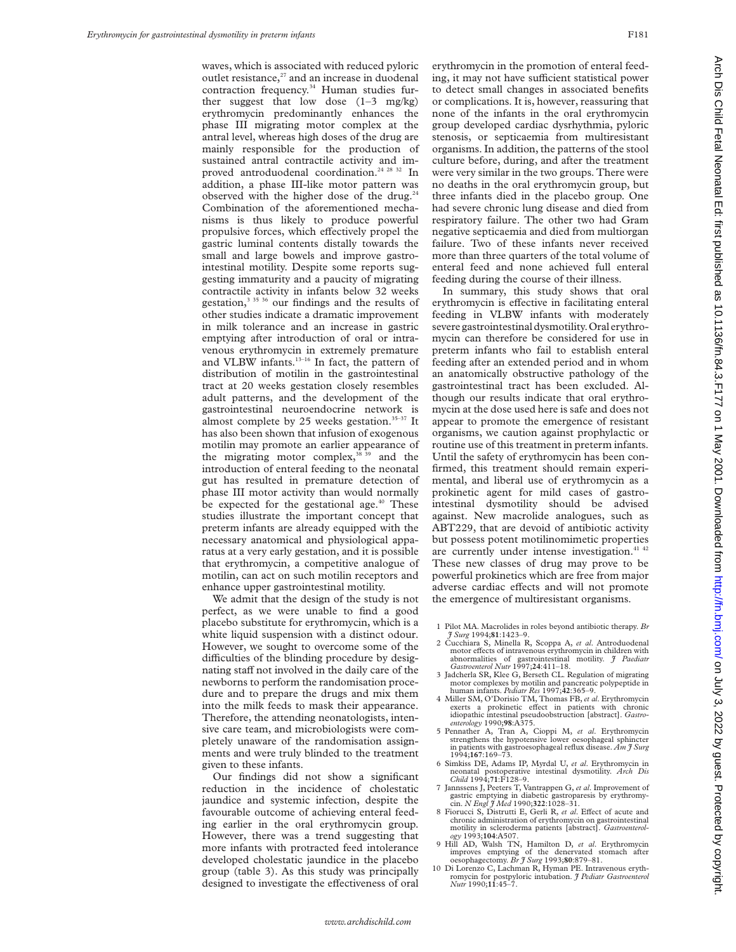waves, which is associated with reduced pyloric outlet resistance,<sup>27</sup> and an increase in duodenal contraction frequency.<sup>34</sup> Human studies further suggest that low dose  $(1-3 \text{ mg/kg})$ erythromycin predominantly enhances the phase III migrating motor complex at the antral level, whereas high doses of the drug are mainly responsible for the production of sustained antral contractile activity and improved antroduodenal coordination.<sup>24 28 32</sup> In addition, a phase III-like motor pattern was observed with the higher dose of the drug.<sup>24</sup> Combination of the aforementioned mechanisms is thus likely to produce powerful propulsive forces, which effectively propel the gastric luminal contents distally towards the small and large bowels and improve gastrointestinal motility. Despite some reports suggesting immaturity and a paucity of migrating contractile activity in infants below 32 weeks gestation,3 35 36 our findings and the results of other studies indicate a dramatic improvement in milk tolerance and an increase in gastric emptying after introduction of oral or intravenous erythromycin in extremely premature and VLBW infants.<sup>13-16</sup> In fact, the pattern of distribution of motilin in the gastrointestinal tract at 20 weeks gestation closely resembles adult patterns, and the development of the gastrointestinal neuroendocrine network is almost complete by 25 weeks gestation.<sup>35-37</sup> It has also been shown that infusion of exogenous motilin may promote an earlier appearance of the migrating motor complex,<sup>38 39</sup> and the introduction of enteral feeding to the neonatal gut has resulted in premature detection of phase III motor activity than would normally be expected for the gestational age. $40$  These studies illustrate the important concept that preterm infants are already equipped with the necessary anatomical and physiological apparatus at a very early gestation, and it is possible that erythromycin, a competitive analogue of motilin, can act on such motilin receptors and enhance upper gastrointestinal motility.

We admit that the design of the study is not perfect, as we were unable to find a good placebo substitute for erythromycin, which is a white liquid suspension with a distinct odour. However, we sought to overcome some of the difficulties of the blinding procedure by designating staff not involved in the daily care of the newborns to perform the randomisation procedure and to prepare the drugs and mix them into the milk feeds to mask their appearance. Therefore, the attending neonatologists, intensive care team, and microbiologists were completely unaware of the randomisation assignments and were truly blinded to the treatment given to these infants.

Our findings did not show a significant reduction in the incidence of cholestatic jaundice and systemic infection, despite the favourable outcome of achieving enteral feeding earlier in the oral erythromycin group. However, there was a trend suggesting that more infants with protracted feed intolerance developed cholestatic jaundice in the placebo group (table 3). As this study was principally designed to investigate the effectiveness of oral

erythromycin in the promotion of enteral feeding, it may not have sufficient statistical power to detect small changes in associated benefits or complications. It is, however, reassuring that none of the infants in the oral erythromycin group developed cardiac dysrhythmia, pyloric stenosis, or septicaemia from multiresistant organisms. In addition, the patterns of the stool culture before, during, and after the treatment were very similar in the two groups. There were no deaths in the oral erythromycin group, but three infants died in the placebo group. One had severe chronic lung disease and died from respiratory failure. The other two had Gram negative septicaemia and died from multiorgan failure. Two of these infants never received more than three quarters of the total volume of enteral feed and none achieved full enteral feeding during the course of their illness.

In summary, this study shows that oral erythromycin is effective in facilitating enteral feeding in VLBW infants with moderately severegastrointestinaldysmotility.Oralerythromycin can therefore be considered for use in preterm infants who fail to establish enteral feeding after an extended period and in whom an anatomically obstructive pathology of the gastrointestinal tract has been excluded. Although our results indicate that oral erythromycin at the dose used here is safe and does not appear to promote the emergence of resistant organisms, we caution against prophylactic or routine use of this treatment in preterm infants. Until the safety of erythromycin has been confirmed, this treatment should remain experimental, and liberal use of erythromycin as a prokinetic agent for mild cases of gastrointestinal dysmotility should be advised against. New macrolide analogues, such as ABT229, that are devoid of antibiotic activity but possess potent motilinomimetic properties are currently under intense investigation.<sup>41 42</sup> These new classes of drug may prove to be powerful prokinetics which are free from major adverse cardiac effects and will not promote the emergence of multiresistant organisms.

- 1 Pilot MA. Macrolides in roles beyond antibiotic therapy. *Br J Surg* 1994;**81**:1423–9.
- 2 Cucchiara S, Minella R, Scoppa A, *et al*. Antroduodenal motor effects of intravenous erythromycin in children with abnormalities of gastrointestinal motility. *J Paediatr Gastroenterol Nutr* 1997;**24**:411–18.
- 3 Jadcherla SR, Klee G, Berseth CL. Regulation of migrating motor complexes by motilin and pancreatic polypeptide in human infants. *Pediatr Res* 1997;**42**:365–9.
- 4 Miller SM, O'Dorisio TM, Thomas FB, *et al.* Erythromycin exerts a prokinetic effect in patients with chronic idiopathic intestinal pseudoobstruction [abstract]. *Gastroenterology* 1990;**98**:A375.
- 5 Pennather A, Tran A, Cioppi M, *et al*. Erythromycin strengthens the hypotensive lower oesophageal sphincter in patients with gastroesophageal reflux disease. *Am J Surg* 1994;**167**:169–73.
- 6 Simkiss DE, Adams IP, Myrdal U, *et al*. Erythromycin in neonatal postoperative intestinal dysmotility. *Arch Dis Child* 1994;**71**:F128–9.
- 7 Jannssens J, Peeters T, Vantrappen G, *et al*. Improvement of gastric emptying in diabetic gastroparesis by erythromy-cin. *N Engl J Med* 1990;**322**:1028–31.
- 8 Fiorucci S, Distrutti E, Gerli R, et al. Effect of acute and chronic administration of erythromycin on gastrointestinal motility in scleroderma patients [abstract]. *Gastroenterology* 1993;**104**:A507.
- 9 Hill AD, Walsh TN, Hamilton D, *et al*. Erythromycin improves emptying of the denervated stomach after oesophagectomy. *Br J Surg* 1993;**80**:879–81.
- 10 Di Lorenzo C, Lachman R, Hyman PE. Intravenous erythromycin for postpyloric intubation. *J Pediatr Gastroenterol Nutr* 1990;**11**:45–7.